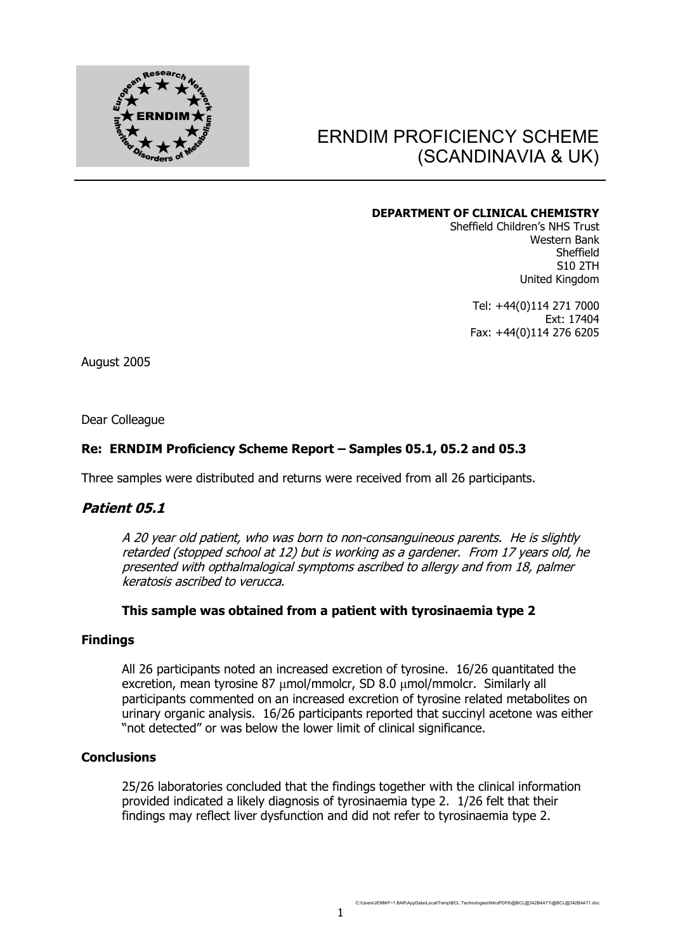

# ERNDIM PROFICIENCY SCHEME (SCANDINAVIA & UK)

#### **DEPARTMENT OF CLINICAL CHEMISTRY**

Sheffield Children's NHS Trust Western Bank Sheffield S10 2TH United Kingdom

> Tel: +44(0)114 271 7000 Ext: 17404 Fax: +44(0)114 276 6205

August 2005

Dear Colleague

# **Re: ERNDIM Proficiency Scheme Report – Samples 05.1, 05.2 and 05.3**

Three samples were distributed and returns were received from all 26 participants.

# **Patient 05.1**

A 20 year old patient, who was born to non-consanguineous parents. He is slightly retarded (stopped school at 12) but is working as a gardener. From 17 years old, he presented with opthalmalogical symptoms ascribed to allergy and from 18, palmer keratosis ascribed to verucca.

# **This sample was obtained from a patient with tyrosinaemia type 2**

# **Findings**

All 26 participants noted an increased excretion of tyrosine. 16/26 quantitated the excretion, mean tyrosine 87 μmol/mmolcr, SD 8.0 μmol/mmolcr. Similarly all participants commented on an increased excretion of tyrosine related metabolites on urinary organic analysis. 16/26 participants reported that succinyl acetone was either "not detected" or was below the lower limit of clinical significance.

# **Conclusions**

25/26 laboratories concluded that the findings together with the clinical information provided indicated a likely diagnosis of tyrosinaemia type 2. 1/26 felt that their findings may reflect liver dysfunction and did not refer to tyrosinaemia type 2.

C:\Users\JENNIF~1.BAR\AppData\Local\Temp\BCL Technologies\NitroPDF6\@BCL@342B4A71\@BCL@342B4A71.doc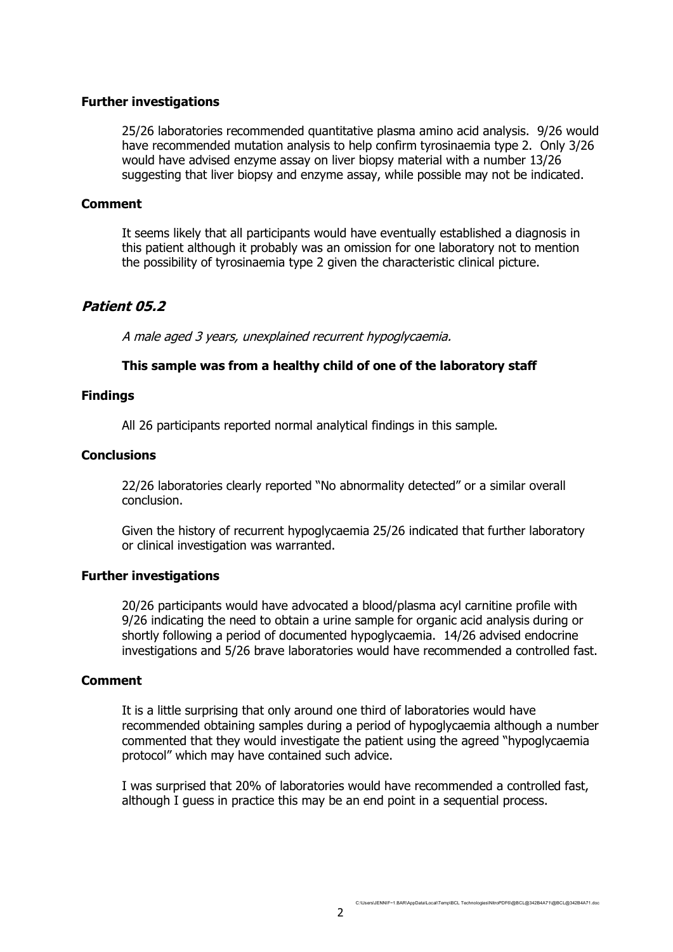# **Further investigations**

25/26 laboratories recommended quantitative plasma amino acid analysis. 9/26 would have recommended mutation analysis to help confirm tyrosinaemia type 2. Only 3/26 would have advised enzyme assay on liver biopsy material with a number 13/26 suggesting that liver biopsy and enzyme assay, while possible may not be indicated.

# **Comment**

It seems likely that all participants would have eventually established a diagnosis in this patient although it probably was an omission for one laboratory not to mention the possibility of tyrosinaemia type 2 given the characteristic clinical picture.

# **Patient 05.2**

A male aged 3 years, unexplained recurrent hypoglycaemia.

# **This sample was from a healthy child of one of the laboratory staff**

# **Findings**

All 26 participants reported normal analytical findings in this sample.

# **Conclusions**

22/26 laboratories clearly reported "No abnormality detected" or a similar overall conclusion.

Given the history of recurrent hypoglycaemia 25/26 indicated that further laboratory or clinical investigation was warranted.

# **Further investigations**

20/26 participants would have advocated a blood/plasma acyl carnitine profile with 9/26 indicating the need to obtain a urine sample for organic acid analysis during or shortly following a period of documented hypoglycaemia. 14/26 advised endocrine investigations and 5/26 brave laboratories would have recommended a controlled fast.

# **Comment**

It is a little surprising that only around one third of laboratories would have recommended obtaining samples during a period of hypoglycaemia although a number commented that they would investigate the patient using the agreed "hypoglycaemia protocol" which may have contained such advice.

I was surprised that 20% of laboratories would have recommended a controlled fast, although I guess in practice this may be an end point in a sequential process.

C:\Users\JENNIF~1.BAR\AppData\Local\Temp\BCL Technologies\NitroPDF6\@BCL@342B4A71\@BCL@342B4A71.doc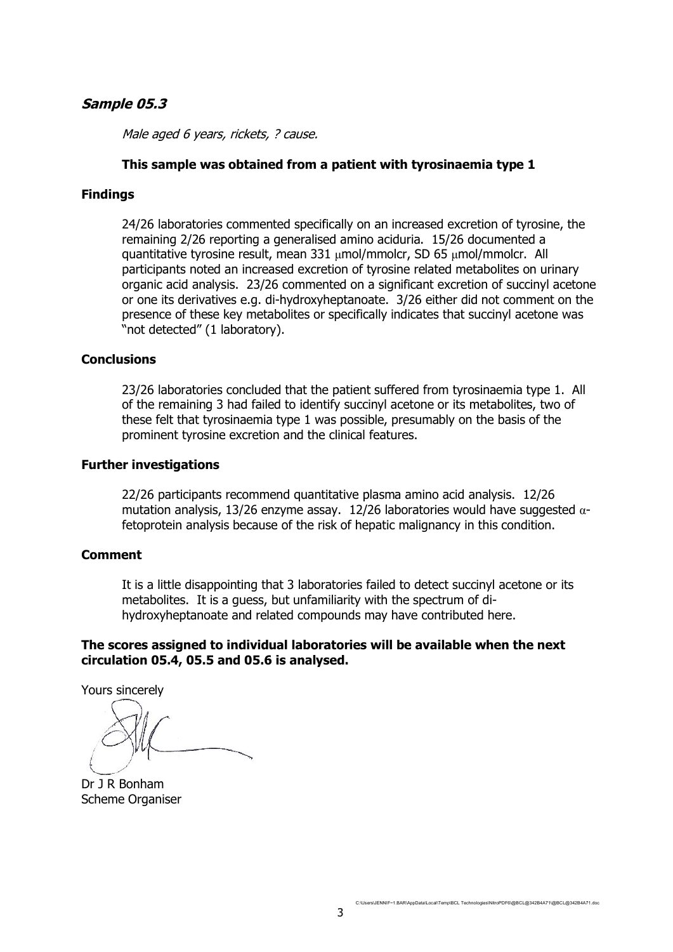# **Sample 05.3**

Male aged 6 years, rickets, ? cause.

# **This sample was obtained from a patient with tyrosinaemia type 1**

#### **Findings**

24/26 laboratories commented specifically on an increased excretion of tyrosine, the remaining 2/26 reporting a generalised amino aciduria. 15/26 documented a quantitative tyrosine result, mean 331 μmol/mmolcr, SD 65 μmol/mmolcr. All participants noted an increased excretion of tyrosine related metabolites on urinary organic acid analysis. 23/26 commented on a significant excretion of succinyl acetone or one its derivatives e.g. di-hydroxyheptanoate. 3/26 either did not comment on the presence of these key metabolites or specifically indicates that succinyl acetone was "not detected" (1 laboratory).

#### **Conclusions**

23/26 laboratories concluded that the patient suffered from tyrosinaemia type 1. All of the remaining 3 had failed to identify succinyl acetone or its metabolites, two of these felt that tyrosinaemia type 1 was possible, presumably on the basis of the prominent tyrosine excretion and the clinical features.

#### **Further investigations**

22/26 participants recommend quantitative plasma amino acid analysis. 12/26 mutation analysis, 13/26 enzyme assay. 12/26 laboratories would have suggested  $\alpha$ fetoprotein analysis because of the risk of hepatic malignancy in this condition.

#### **Comment**

It is a little disappointing that 3 laboratories failed to detect succinyl acetone or its metabolites. It is a guess, but unfamiliarity with the spectrum of dihydroxyheptanoate and related compounds may have contributed here.

# **The scores assigned to individual laboratories will be available when the next circulation 05.4, 05.5 and 05.6 is analysed.**

Yours sincerely

Dr J R Bonham Scheme Organiser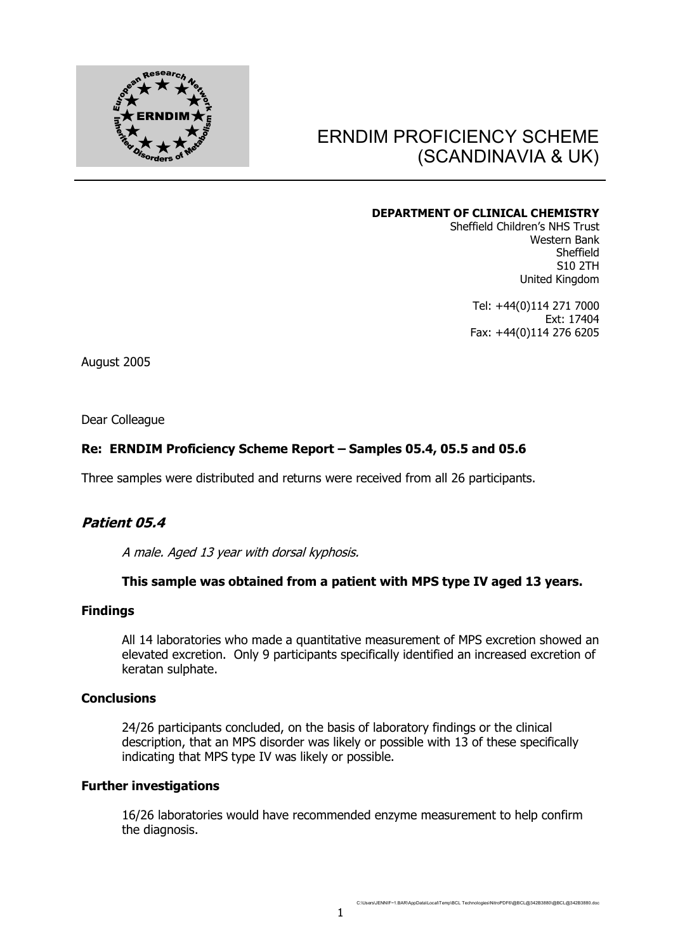

# ERNDIM PROFICIENCY SCHEME (SCANDINAVIA & UK)

#### **DEPARTMENT OF CLINICAL CHEMISTRY**

Sheffield Children's NHS Trust Western Bank Sheffield S10 2TH United Kingdom

> Tel: +44(0)114 271 7000 Ext: 17404 Fax: +44(0)114 276 6205

August 2005

Dear Colleague

# **Re: ERNDIM Proficiency Scheme Report – Samples 05.4, 05.5 and 05.6**

Three samples were distributed and returns were received from all 26 participants.

# **Patient 05.4**

A male. Aged 13 year with dorsal kyphosis.

# **This sample was obtained from a patient with MPS type IV aged 13 years.**

#### **Findings**

All 14 laboratories who made a quantitative measurement of MPS excretion showed an elevated excretion. Only 9 participants specifically identified an increased excretion of keratan sulphate.

# **Conclusions**

24/26 participants concluded, on the basis of laboratory findings or the clinical description, that an MPS disorder was likely or possible with 13 of these specifically indicating that MPS type IV was likely or possible.

#### **Further investigations**

16/26 laboratories would have recommended enzyme measurement to help confirm the diagnosis.

C:\Users\JENNIF~1.BAR\AppData\Local\Temp\BCL Technologies\NitroPDF6\@BCL@342B3880\@BCL@342B3880.doc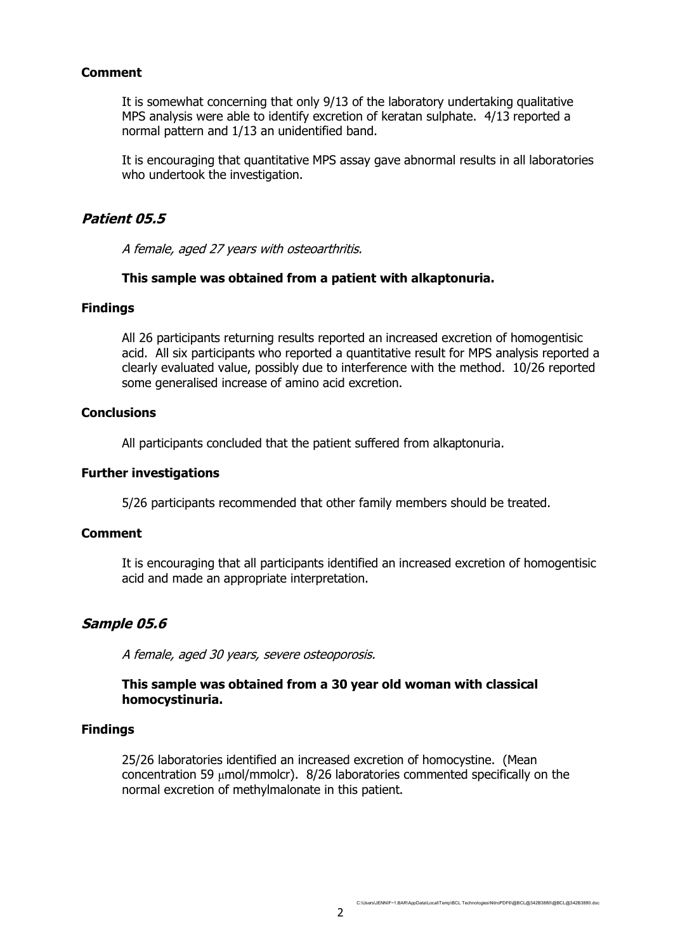# **Comment**

It is somewhat concerning that only 9/13 of the laboratory undertaking qualitative MPS analysis were able to identify excretion of keratan sulphate. 4/13 reported a normal pattern and 1/13 an unidentified band.

It is encouraging that quantitative MPS assay gave abnormal results in all laboratories who undertook the investigation.

# **Patient 05.5**

A female, aged 27 years with osteoarthritis.

# **This sample was obtained from a patient with alkaptonuria.**

#### **Findings**

All 26 participants returning results reported an increased excretion of homogentisic acid. All six participants who reported a quantitative result for MPS analysis reported a clearly evaluated value, possibly due to interference with the method. 10/26 reported some generalised increase of amino acid excretion.

# **Conclusions**

All participants concluded that the patient suffered from alkaptonuria.

#### **Further investigations**

5/26 participants recommended that other family members should be treated.

# **Comment**

It is encouraging that all participants identified an increased excretion of homogentisic acid and made an appropriate interpretation.

# **Sample 05.6**

A female, aged 30 years, severe osteoporosis.

# **This sample was obtained from a 30 year old woman with classical homocystinuria.**

# **Findings**

25/26 laboratories identified an increased excretion of homocystine. (Mean concentration 59 μmol/mmolcr). 8/26 laboratories commented specifically on the normal excretion of methylmalonate in this patient.

C:\Users\JENNIF~1.BAR\AppData\Local\Temp\BCL Technologies\NitroPDF6\@BCL@342B3880\@BCL@342B3880.doc